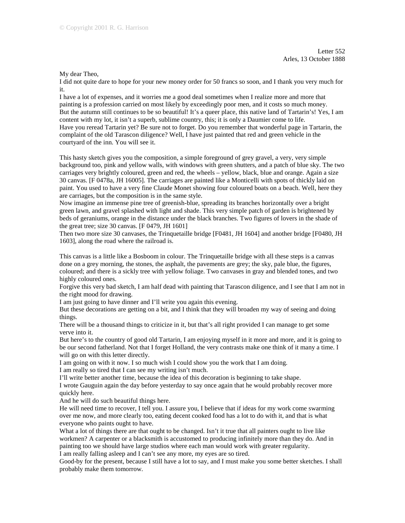My dear Theo,

I did not quite dare to hope for your new money order for 50 francs so soon, and I thank you very much for it.

I have a lot of expenses, and it worries me a good deal sometimes when I realize more and more that painting is a profession carried on most likely by exceedingly poor men, and it costs so much money. But the autumn still continues to be so beautiful! It's a queer place, this native land of Tartarin's! Yes, I am content with my lot, it isn't a superb, sublime country, this; it is only a Daumier come to life. Have you reread Tartarin yet? Be sure not to forget. Do you remember that wonderful page in Tartarin, the complaint of the old Tarascon diligence? Well, I have just painted that red and green vehicle in the courtyard of the inn. You will see it.

This hasty sketch gives you the composition, a simple foreground of grey gravel, a very, very simple background too, pink and yellow walls, with windows with green shutters, and a patch of blue sky. The two carriages very brightly coloured, green and red, the wheels – yellow, black, blue and orange. Again a size 30 canvas. [F 0478a, JH 16005]. The carriages are painted like a Monticelli with spots of thickly laid on paint. You used to have a very fine Claude Monet showing four coloured boats on a beach. Well, here they are carriages, but the composition is in the same style.

Now imagine an immense pine tree of greenish-blue, spreading its branches horizontally over a bright green lawn, and gravel splashed with light and shade. This very simple patch of garden is brightened by beds of geraniums, orange in the distance under the black branches. Two figures of lovers in the shade of the great tree; size 30 canvas. [F 0479, JH 1601]

Then two more size 30 canvases, the Trinquetaille bridge [F0481, JH 1604] and another bridge [F0480, JH 1603], along the road where the railroad is.

This canvas is a little like a Bosboom in colour. The Trinquetaille bridge with all these steps is a canvas done on a grey morning, the stones, the asphalt, the pavements are grey; the sky, pale blue, the figures, coloured; and there is a sickly tree with yellow foliage. Two canvases in gray and blended tones, and two highly coloured ones.

Forgive this very bad sketch, I am half dead with painting that Tarascon diligence, and I see that I am not in the right mood for drawing.

I am just going to have dinner and I'll write you again this evening.

But these decorations are getting on a bit, and I think that they will broaden my way of seeing and doing things.

There will be a thousand things to criticize in it, but that's all right provided I can manage to get some verve into it.

But here's to the country of good old Tartarin, I am enjoying myself in it more and more, and it is going to be our second fatherland. Not that I forget Holland, the very contrasts make one think of it many a time. I will go on with this letter directly.

I am going on with it now. I so much wish I could show you the work that I am doing.

I am really so tired that I can see my writing isn't much.

I'll write better another time, because the idea of this decoration is beginning to take shape.

I wrote Gauguin again the day before yesterday to say once again that he would probably recover more quickly here.

And he will do such beautiful things here.

He will need time to recover, I tell you. I assure you, I believe that if ideas for my work come swarming over me now, and more clearly too, eating decent cooked food has a lot to do with it, and that is what everyone who paints ought to have.

What a lot of things there are that ought to be changed. Isn't it true that all painters ought to live like workmen? A carpenter or a blacksmith is accustomed to producing infinitely more than they do. And in painting too we should have large studios where each man would work with greater regularity.

I am really falling asleep and I can't see any more, my eyes are so tired.

Good-by for the present, because I still have a lot to say, and I must make you some better sketches. I shall probably make them tomorrow.